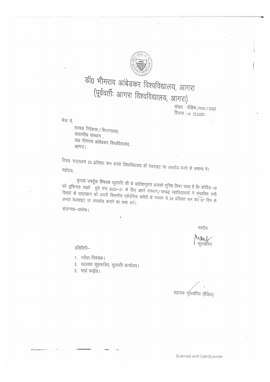

# डॉ0 भीमराव आंबेडकर विश्वविद्यालय, आगरा (पूर्ववर्तीः आगरा विश्वविद्यालय, आगरा)

संख्या : शैक्षिक /590 / 2020 दिनांक :18 .12.2020

सेवा में,

समस्त निदेशक / विभागाध्यक्ष, आवासीय संस्थान, डा0 भीमराव आंबेडकर विश्वविद्यालय, आगरा।

विषयः पाठ्यक्रम 25 प्रतिशत कम करके विश्वविद्यालय की वेबसाइट पर अपलोड करने के सम्बन्ध में।

कृपया उपर्युक्त विषयक कुलपति जी के आदेशानुशार आपको सूचित किया जाता है कि कोविड–19 को दृष्टिगत रखते हुये सत्र 2020–21 के लिए अपने संस्थान/सम्बद्ध महाविद्यालयों में संचालित सभी विषयों के पाठ्यक्रम को अपनी विभागीय एकेडेमिक कमेटी के माध्यम से 25 प्रतिशत कम कर 07 दिन के अन्दर वेबसाइट पर अपलोड कराने का कष्ट करें।

संलग्नक-यथोक्त।

मवदीय

Mlay 1 कुलसंचिव

प्रतिलिपि–

- 1. परीक्षा नियंत्रक।
- 2. सहायक कुलसचिव, कुलपति कार्यालय।
- 3. गार्ड फाईल।

सहायक कुलसचिव (शैक्षिक)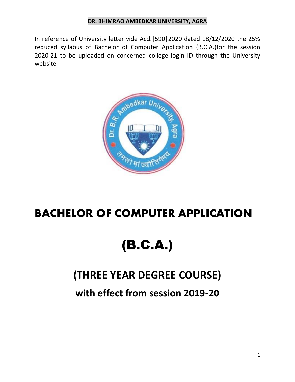In reference of University letter vide Acd.|590|2020 dated 18/12/2020 the 25% reduced syllabus of Bachelor of Computer Application (B.C.A.)for the session 2020-21 to be uploaded on concerned college login ID through the University website.



# **BACHELOR OF COMPUTER APPLICATION**

# (B.C.A.)

# **(THREE YEAR DEGREE COURSE)**

**with effect from session 2019-20**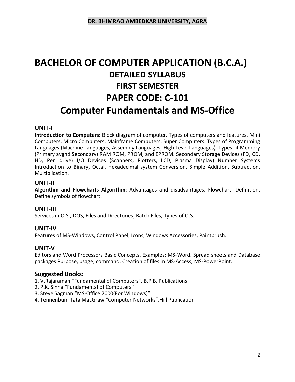# **BACHELOR OF COMPUTER APPLICATION (B.C.A.) DETAILED SYLLABUS FIRST SEMESTER PAPER CODE: C-101 Computer Fundamentals and MS-Office**

#### **UNIT-I**

**Introduction to Computers:** Block diagram of computer. Types of computers and features, Mini Computers, Micro Computers, Mainframe Computers, Super Computers. Types of Programming Languages (Machine Languages, Assembly Languages, High Level Languages). Types of Memory (Primary avgnd Secondary) RAM ROM, PROM, and EPROM. Secondary Storage Devices (FD, CD, HD, Pen drive) I/O Devices (Scanners, Plotters, LCD, Plasma Display) Number Systems Introduction to Binary, Octal, Hexadecimal system Conversion, Simple Addition, Subtraction, Multiplication.

#### **UNIT-II**

**Algorithm and Flowcharts Algorithm**: Advantages and disadvantages, Flowchart: Definition, Define symbols of flowchart.

#### **UNIT-III**

Services in O.S., DOS, Files and Directories, Batch Files, Types of O.S.

#### **UNIT-IV**

Features of MS-Windows, Control Panel, Icons, Windows Accessories, Paintbrush.

#### **UNIT-V**

Editors and Word Processors Basic Concepts, Examples: MS-Word. Spread sheets and Database packages Purpose, usage, command, Creation of files in MS-Access, MS-PowerPoint.

#### **Suggested Books:**

1. V.Rajaraman "Fundamental of Computers", B.P.B. Publications

- 2. P.K. Sinha "Fundamental of Computers"
- 3. Steve Sagman "MS-Office 2000(For Windows)"
- 4. Tennenbum Tata MacGraw "Computer Networks",Hill Publication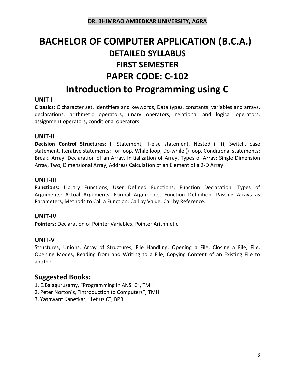# **BACHELOR OF COMPUTER APPLICATION (B.C.A.) DETAILED SYLLABUS FIRST SEMESTER PAPER CODE: C-102 Introduction to Programming using C**

#### **UNIT-I**

**C basics**: C character set, Identifiers and keywords, Data types, constants, variables and arrays, declarations, arithmetic operators, unary operators, relational and logical operators, assignment operators, conditional operators.

#### **UNIT-II**

**Decision Control Structures:** If Statement, If-else statement, Nested if (), Switch, case statement, Iterative statements: For loop, While loop, Do-while () loop, Conditional statements: Break. Array: Declaration of an Array, Initialization of Array, Types of Array: Single Dimension Array, Two, Dimensional Array, Address Calculation of an Element of a 2-D Array

#### **UNIT-III**

**Functions:** Library Functions, User Defined Functions, Function Declaration, Types of Arguments: Actual Arguments, Formal Arguments, Function Definition, Passing Arrays as Parameters, Methods to Call a Function: Call by Value, Call by Reference.

#### **UNIT-IV**

**Pointers:** Declaration of Pointer Variables, Pointer Arithmetic

#### **UNIT-V**

Structures, Unions, Array of Structures, File Handling: Opening a File, Closing a File, File, Opening Modes, Reading from and Writing to a File, Copying Content of an Existing File to another.

- 1. E.Balagurusamy, "Programming in ANSI C", TMH
- 2. Peter Norton's, "Introduction to Computers", TMH
- 3. Yashwant Kanetkar, "Let us C", BPB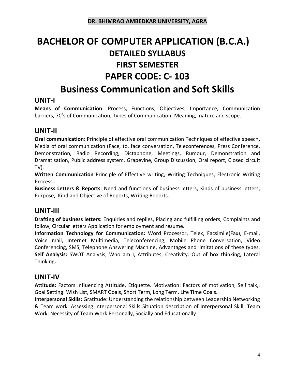# **BACHELOR OF COMPUTER APPLICATION (B.C.A.) DETAILED SYLLABUS FIRST SEMESTER PAPER CODE: C- 103 Business Communication and Soft Skills**

# **UNIT-I**

**Means of Communication**: Process, Functions, Objectives, Importance, Communication barriers, 7C's of Communication, Types of Communication: Meaning, nature and scope.

# **UNIT-II**

**Oral communication**: Principle of effective oral communication Techniques of effective speech, Media of oral communication (Face, to, face conversation, Teleconferences, Press Conference, Demonstration, Radio Recording, Dictaphone, Meetings, Rumour, Demonstration and Dramatisation, Public address system, Grapevine, Group Discussion, Oral report, Closed circuit TV).

**Written Communication** Principle of Effective writing, Writing Techniques, Electronic Writing Process.

**Business Letters & Reports**: Need and functions of business letters, Kinds of business letters, Purpose, Kind and Objective of Reports, Writing Reports.

### **UNIT-III**

**Drafting of business letters:** Enquiries and replies, Placing and fulfilling orders, Complaints and follow, Circular letters Application for employment and resume.

**Information Technology for Communication:** Word Processor, Telex, Facsimile(Fax), E-mail, Voice mail, Internet Multimedia, Teleconferencing, Mobile Phone Conversation, Video Conferencing, SMS, Telephone Answering Machine, Advantages and limitations of these types. **Self Analysis:** SWOT Analysis, Who am I, Attributes, Creativity: Out of box thinking, Lateral Thinking**.** 

### **UNIT-IV**

**Attitude:** Factors influencing Attitude, Etiquette. Motivation: Factors of motivation, Self talk,. Goal Setting: Wish List, SMART Goals, Short Term, Long Term, Life Time Goals.

**Interpersonal Skills:** Gratitude: Understanding the relationship between Leadership Networking & Team work. Assessing Interpersonal Skills Situation description of Interpersonal Skill. Team Work: Necessity of Team Work Personally, Socially and Educationally.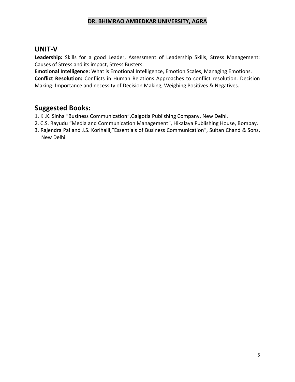### **UNIT-V**

**Leadership:** Skills for a good Leader, Assessment of Leadership Skills, Stress Management: Causes of Stress and its impact, Stress Busters.

**Emotional Intelligence:** What is Emotional Intelligence, Emotion Scales, Managing Emotions. **Conflict Resolution:** Conflicts in Human Relations Approaches to conflict resolution. Decision Making: Importance and necessity of Decision Making, Weighing Positives & Negatives.

- 1. K .K. Sinha "Business Communication",Galgotia Publishing Company, New Delhi.
- 2. C.S. Rayudu "Media and Communication Management", Hikalaya Publishing House, Bombay.
- 3. Rajendra Pal and J.S. Korlhalli,"Essentials of Business Communication", Sultan Chand & Sons, New Delhi.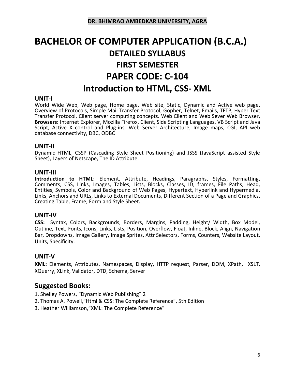# **BACHELOR OF COMPUTER APPLICATION (B.C.A.) DETAILED SYLLABUS FIRST SEMESTER PAPER CODE: C-104 Introduction to HTML, CSS- XML**

#### **UNIT-I**

World Wide Web, Web page, Home page, Web site, Static, Dynamic and Active web page, Overview of Protocols, Simple Mail Transfer Protocol, Gopher, Telnet, Emails, TFTP, Hyper Text Transfer Protocol, Client server computing concepts. Web Client and Web Sever Web Browser, **Browsers:** Internet Explorer, Mozilla Firefox, Client, Side Scripting Languages, VB Script and Java Script, Active X control and Plug-ins, Web Server Architecture, Image maps, CGI, API web database connectivity, DBC, ODBC

#### **UNIT-II**

Dynamic HTML, CSSP (Cascading Style Sheet Positioning) and JSSS (JavaScript assisted Style Sheet), Layers of Netscape, The ID Attribute.

#### **UNIT-III**

**Introduction to HTML:** Element, Attribute, Headings, Paragraphs, Styles, Formatting, Comments, CSS, Links, Images, Tables, Lists, Blocks, Classes, ID, frames, File Paths, Head, Entities, Symbols, Color and Background of Web Pages, Hypertext, Hyperlink and Hypermedia, Links, Anchors and URLs, Links to External Documents, Different Section of a Page and Graphics, Creating Table, Frame, Form and Style Sheet.

#### **UNIT-IV**

**CSS:** Syntax, Colors, Backgrounds, Borders, Margins, Padding, Height/ Width, Box Model, Outline, Text, Fonts, Icons, Links, Lists, Position, Overflow, Float, Inline, Block, Align, Navigation Bar, Dropdowns, Image Gallery, Image Sprites, Attr Selectors, Forms, Counters, Website Layout, Units, Specificity.

#### **UNIT-V**

**XML:** Elements, Attributes, Namespaces, Display, HTTP request, Parser, DOM, XPath, XSLT, XQuerry, XLink, Validator, DTD, Schema, Server

- 1. Shelley Powers, "Dynamic Web Publishing" 2
- 2. Thomas A. Powell,"Html & CSS: The Complete Reference", 5th Edition
- 3. Heather Williamson,"XML: The Complete Reference"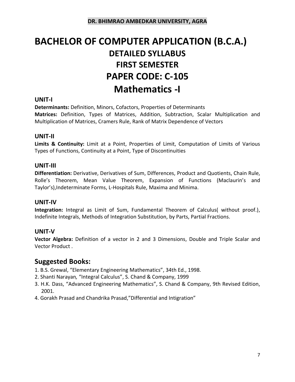# **BACHELOR OF COMPUTER APPLICATION (B.C.A.) DETAILED SYLLABUS FIRST SEMESTER PAPER CODE: C-105 Mathematics -I**

#### **UNIT-I**

**Determinants:** Definition, Minors, Cofactors, Properties of Determinants **Matrices:** Definition, Types of Matrices, Addition, Subtraction, Scalar Multiplication and Multiplication of Matrices, Cramers Rule, Rank of Matrix Dependence of Vectors

#### **UNIT-II**

**Limits & Continuity:** Limit at a Point, Properties of Limit, Computation of Limits of Various Types of Functions, Continuity at a Point, Type of Discontinuities

#### **UNIT-III**

**Differentiation:** Derivative, Derivatives of Sum, Differences, Product and Quotients, Chain Rule, Rolle's Theorem, Mean Value Theorem, Expansion of Functions (Maclaurin's and Taylor's),Indeterminate Forms, L-Hospitals Rule, Maxima and Minima.

#### **UNIT-IV**

**Integration:** Integral as Limit of Sum, Fundamental Theorem of Calculus( without proof.), Indefinite Integrals, Methods of Integration Substitution, by Parts, Partial Fractions.

#### **UNIT-V**

**Vector Algebra:** Definition of a vector in 2 and 3 Dimensions, Double and Triple Scalar and Vector Product .

- 1. B.S. Grewal, "Elementary Engineering Mathematics", 34th Ed., 1998.
- 2. Shanti Narayan*,* "Integral Calculus", S. Chand & Company, 1999
- 3. H.K. Dass, "Advanced Engineering Mathematics", S. Chand & Company, 9th Revised Edition, 2001.
- 4. Gorakh Prasad and Chandrika Prasad,"Differential and Intigration"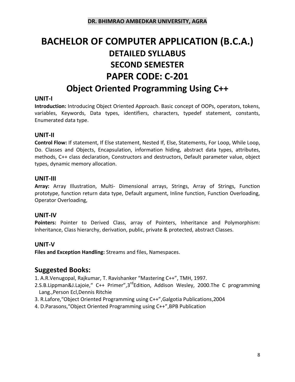# **BACHELOR OF COMPUTER APPLICATION (B.C.A.) DETAILED SYLLABUS SECOND SEMESTER PAPER CODE: C-201 Object Oriented Programming Using C++**

### **UNIT-I**

**Introduction:** Introducing Object Oriented Approach. Basic concept of OOPs, operators, tokens, variables, Keywords, Data types, identifiers, characters, typedef statement, constants, Enumerated data type.

#### **UNIT-II**

**Control Flow:** If statement, If Else statement, Nested If, Else, Statements, For Loop, While Loop, Do. Classes and Objects, Encapsulation, information hiding, abstract data types, attributes, methods, C++ class declaration, Constructors and destructors, Default parameter value, object types, dynamic memory allocation.

#### **UNIT-III**

**Array:** Array Illustration, Multi- Dimensional arrays, Strings, Array of Strings, Function prototype, function return data type, Default argument, Inline function, Function Overloading, Operator Overloading,

#### **UNIT-IV**

**Pointers:** Pointer to Derived Class, array of Pointers, Inheritance and Polymorphism: Inheritance, Class hierarchy, derivation, public, private & protected, abstract Classes.

#### **UNIT-V**

**Files and Exception Handling:** Streams and files, Namespaces.

# **Suggested Books:**

1. A.R.Venugopal, Rajkumar, T. Ravishanker "Mastering C++", TMH, 1997.

- 2.S.B.Lippman&J.Lajoie," C++ Primer",3<sup>rd</sup>Edition, Addison Wesley, 2000.The C programming Lang.,Person Ecl,Dennis Ritchie
- 3. R.Lafore,"Object Oriented Programming using C++",Galgotia Publications,2004
- 4. D.Parasons,"Object Oriented Programming using C++",BPB Publication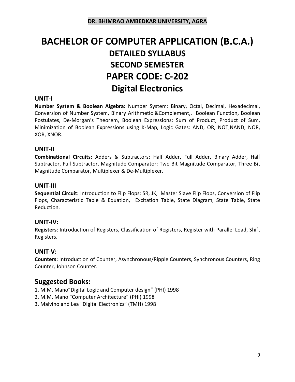# **BACHELOR OF COMPUTER APPLICATION (B.C.A.) DETAILED SYLLABUS SECOND SEMESTER PAPER CODE: C-202 Digital Electronics**

#### **UNIT-I**

**Number System & Boolean Algebra:** Number System: Binary, Octal, Decimal, Hexadecimal, Conversion of Number System, Binary Arithmetic &Complement,. Boolean Function, Boolean Postulates, De-Morgan's Theorem, Boolean Expressions: Sum of Product, Product of Sum, Minimization of Boolean Expressions using K-Map, Logic Gates: AND, OR, NOT,NAND, NOR, XOR, XNOR.

#### **UNIT-II**

**Combinational Circuits:** Adders & Subtractors: Half Adder, Full Adder, Binary Adder, Half Subtractor, Full Subtractor, Magnitude Comparator: Two Bit Magnitude Comparator, Three Bit Magnitude Comparator, Multiplexer & De-Multiplexer.

#### **UNIT-III**

**Sequential Circuit:** Introduction to Flip Flops: SR, JK, Master Slave Flip Flops, Conversion of Flip Flops, Characteristic Table & Equation, Excitation Table, State Diagram, State Table, State Reduction.

#### **UNIT-IV:**

**Registers**: Introduction of Registers, Classification of Registers, Register with Parallel Load, Shift Registers.

#### **UNIT-V:**

**Counters:** Introduction of Counter, Asynchronous/Ripple Counters, Synchronous Counters, Ring Counter, Johnson Counter.

# **Suggested Books:**

1. M.M. Mano"Digital Logic and Computer design" (PHI) 1998

- 2. M.M. Mano "Computer Architecture" (PHI) 1998
- 3. Malvino and Lea "Digital Electronics" (TMH) 1998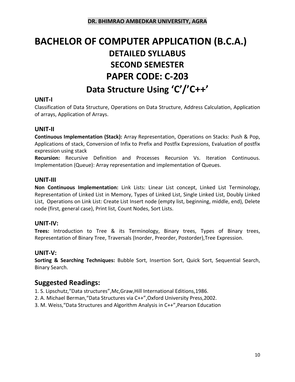# **BACHELOR OF COMPUTER APPLICATION (B.C.A.) DETAILED SYLLABUS SECOND SEMESTER PAPER CODE: C-203 Data Structure Using 'C'/'C++'**

### **UNIT-I**

Classification of Data Structure, Operations on Data Structure, Address Calculation, Application of arrays, Application of Arrays.

### **UNIT-II**

**Continuous Implementation (Stack):** Array Representation, Operations on Stacks: Push & Pop, Applications of stack, Conversion of Infix to Prefix and Postfix Expressions, Evaluation of postfix expression using stack

**Recursion:** Recursive Definition and Processes Recursion Vs. Iteration Continuous. Implementation (Queue): Array representation and implementation of Queues.

#### **UNIT-III**

**Non Continuous Implementation:** Link Lists: Linear List concept, Linked List Terminology, Representation of Linked List in Memory, Types of Linked List, Single Linked List, Doubly Linked List, Operations on Link List: Create List Insert node (empty list, beginning, middle, end), Delete node (first, general case), Print list, Count Nodes, Sort Lists.

#### **UNIT-IV:**

**Trees:** Introduction to Tree & its Terminology, Binary trees, Types of Binary trees, Representation of Binary Tree, Traversals (Inorder, Preorder, Postorder),Tree Expression.

#### **UNIT-V:**

**Sorting & Searching Techniques:** Bubble Sort, Insertion Sort, Quick Sort, Sequential Search, Binary Search.

# **Suggested Readings:**

- 1. S. Lipschutz,"Data structures",Mc,Graw,Hill International Editions,1986.
- 2. A. Michael Berman,"Data Structures via C++",Oxford University Press,2002.
- 3. M. Weiss,"Data Structures and Algorithm Analysis in C++",Pearson Education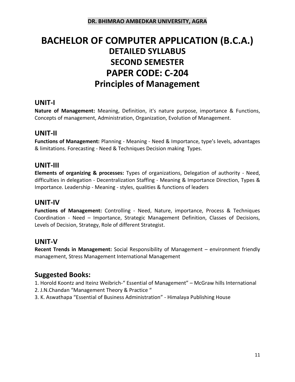# **BACHELOR OF COMPUTER APPLICATION (B.C.A.) DETAILED SYLLABUS SECOND SEMESTER PAPER CODE: C-204 Principles of Management**

# **UNIT-I**

**Nature of Management:** Meaning, Definition, it's nature purpose, importance & Functions, Concepts of management, Administration, Organization, Evolution of Management.

# **UNIT-II**

**Functions of Management:** Planning - Meaning - Need & Importance, type's levels, advantages & limitations. Forecasting - Need & Techniques Decision making Types.

### **UNIT-III**

**Elements of organizing & processes:** Types of organizations, Delegation of authority - Need, difficulties in delegation - Decentralization Staffing - Meaning & Importance Direction, Types & Importance. Leadership - Meaning - styles, qualities & functions of leaders

### **UNIT-IV**

**Functions of Management:** Controlling - Need, Nature, importance, Process & Techniques Coordination - Need – Importance, Strategic Management Definition, Classes of Decisions, Levels of Decision, Strategy, Role of different Strategist.

### **UNIT-V**

**Recent Trends in Management:** Social Responsibility of Management – environment friendly management, Stress Management International Management

# **Suggested Books:**

1. Horold Koontz and Iteinz Weibrich-" Essential of Management" – McGraw hills International

- 2. J.N.Chandan "Management Theory & Practice "
- 3. K. Aswathapa "Essential of Business Administration" Himalaya Publishing House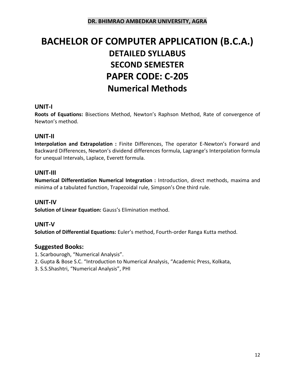# **BACHELOR OF COMPUTER APPLICATION (B.C.A.) DETAILED SYLLABUS SECOND SEMESTER PAPER CODE: C-205 Numerical Methods**

#### **UNIT-I**

**Roots of Equations:** Bisections Method, Newton's Raphson Method, Rate of convergence of Newton's method.

#### **UNIT-II**

**Interpolation and Extrapolation :** Finite Differences, The operator E-Newton's Forward and Backward Differences, Newton's dividend differences formula, Lagrange's Interpolation formula for unequal Intervals, Laplace, Everett formula.

#### **UNIT-III**

**Numerical Differentiation Numerical Integration :** Introduction, direct methods, maxima and minima of a tabulated function, Trapezoidal rule, Simpson's One third rule.

#### **UNIT-IV**

**Solution of Linear Equation:** Gauss's Elimination method.

#### **UNIT-V**

**Solution of Differential Equations:** Euler's method, Fourth-order Ranga Kutta method.

- 1. Scarbourogh, "Numerical Analysis".
- 2. Gupta & Bose S.C. "Introduction to Numerical Analysis, "Academic Press, Kolkata,
- 3. S.S.Shashtri, "Numerical Analysis", PHI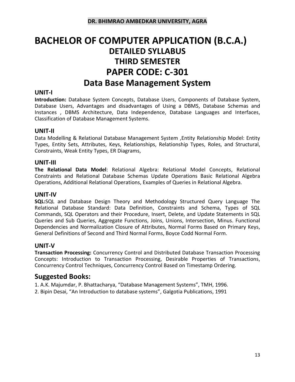# **BACHELOR OF COMPUTER APPLICATION (B.C.A.) DETAILED SYLLABUS THIRD SEMESTER PAPER CODE: C-301 Data Base Management System**

#### **UNIT-I**

**Introduction:** Database System Concepts, Database Users, Components of Database System, Database Users, Advantages and disadvantages of Using a DBMS, Database Schemas and Instances , DBMS Architecture, Data Independence, Database Languages and Interfaces, Classification of Database Management Systems.

#### **UNIT-II**

Data Modelling & Relational Database Management System ,Entity Relationship Model: Entity Types, Entity Sets, Attributes, Keys, Relationships, Relationship Types, Roles, and Structural, Constraints, Weak Entity Types, ER Diagrams,

#### **UNIT-III**

**The Relational Data Model**: Relational Algebra: Relational Model Concepts, Relational Constraints and Relational Database Schemas Update Operations Basic Relational Algebra Operations, Additional Relational Operations, Examples of Queries in Relational Algebra.

#### **UNIT-IV**

**SQL:**SQL and Database Design Theory and Methodology Structured Query Language The Relational Database Standard: Data Definition, Constraints and Schema, Types of SQL Commands, SQL Operators and their Procedure, Insert, Delete, and Update Statements in SQL Queries and Sub Queries, Aggregate Functions, Joins, Unions, Intersection, Minus. Functional Dependencies and Normalization Closure of Attributes, Normal Forms Based on Primary Keys, General Definitions of Second and Third Normal Forms, Boyce Codd Normal Form.

#### **UNIT-V**

**Transaction Processing:** Concurrency Control and Distributed Database Transaction Processing Concepts: Introduction to Transaction Processing, Desirable Properties of Transactions, Concurrency Control Techniques, Concurrency Control Based on Timestamp Ordering.

#### **Suggested Books:**

1. A.K. Majumdar, P. Bhattacharya, "Database Management Systems", TMH, 1996.

2. Bipin Desai, "An Introduction to database systems", Galgotia Publications, 1991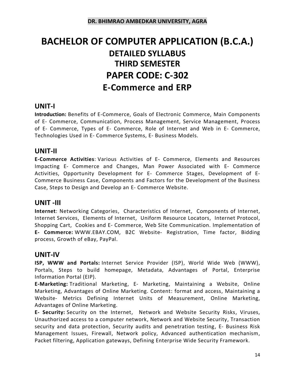# **BACHELOR OF COMPUTER APPLICATION (B.C.A.) DETAILED SYLLABUS THIRD SEMESTER PAPER CODE: C-302 E-Commerce and ERP**

### **UNIT-I**

**Introduction:** Benefits of E-Commerce, Goals of Electronic Commerce, Main Components of E- Commerce, Communication, Process Management, Service Management, Process of E- Commerce, Types of E- Commerce, Role of Internet and Web in E- Commerce, Technologies Used in E- Commerce Systems, E- Business Models.

# **UNIT-II**

**E-Commerce Activities**: Various Activities of E- Commerce, Elements and Resources Impacting E- Commerce and Changes, Man Power Associated with E- Commerce Activities, Opportunity Development for E- Commerce Stages, Development of E-Commerce Business Case, Components and Factors for the Development of the Business Case, Steps to Design and Develop an E- Commerce Website.

# **UNIT -III**

**Internet**: Networking Categories, Characteristics of Internet, Components of Internet, Internet Services, Elements of Internet, Uniform Resource Locators, Internet Protocol, Shopping Cart, Cookies and E- Commerce, Web Site Communication. Implementation of **E- Commerce:** WWW.EBAY.COM, B2C Website- Registration, Time factor, Bidding process, Growth of eBay, PayPal.

### **UNIT-IV**

**ISP, WWW and Portals:** Internet Service Provider (ISP), World Wide Web (WWW), Portals, Steps to build homepage, Metadata, Advantages of Portal, Enterprise Information Portal (EIP).

**E-Marketing:** Traditional Marketing, E- Marketing, Maintaining a Website, Online Marketing, Advantages of Online Marketing. Content: format and access, Maintaining a Website- Metrics Defining Internet Units of Measurement, Online Marketing, Advantages of Online Marketing.

**E- Security:** Security on the Internet, Network and Website Security Risks, Viruses, Unauthorized access to a computer network, Network and Website Security, Transaction security and data protection, Security audits and penetration testing, E- Business Risk Management Issues, Firewall, Network policy, Advanced authentication mechanism, Packet filtering, Application gateways, Defining Enterprise Wide Security Framework.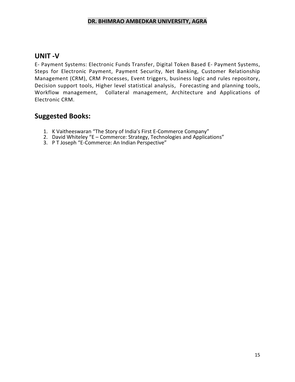#### **UNIT -V**

E- Payment Systems: Electronic Funds Transfer, Digital Token Based E- Payment Systems, Steps for Electronic Payment, Payment Security, Net Banking, Customer Relationship Management (CRM), CRM Processes, Event triggers, business logic and rules repository, Decision support tools, Higher level statistical analysis, Forecasting and planning tools, Workflow management, Collateral management, Architecture and Applications of Electronic CRM.

- 1. K Vaitheeswaran "The Story of India's First E-Commerce Company"
- 2. David Whiteley "E Commerce: Strategy, Technologies and Applications"
- 3. P T Joseph "E-Commerce: An Indian Perspective"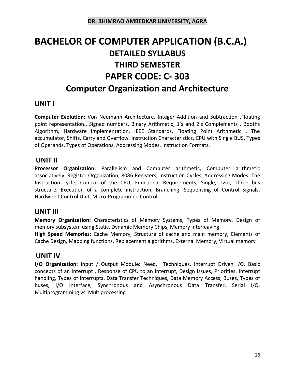# **BACHELOR OF COMPUTER APPLICATION (B.C.A.) DETAILED SYLLABUS THIRD SEMESTER PAPER CODE: C- 303 Computer Organization and Architecture**

# **UNIT I**

**Computer Evolution:** Von Neumann Architecture. Integer Addition and Subtraction ,Floating point representation., Signed numbers, Binary Arithmetic, 1's and 2's Complements , Booths Algorithm, Hardware Implementation, IEEE Standards, Floating Point Arithmetic , The accumulator, Shifts, Carry and Overflow. Instruction Characteristics, CPU with Single BUS, Types of Operands, Types of Operations, Addressing Modes, Instruction Formats.

### **UNIT II**

**Processor Organization:** Parallelism and Computer arithmetic, Computer arithmetic associatively. Register Organization, 8086 Registers, Instruction Cycles, Addressing Modes. The Instruction cycle, Control of the CPU, Functional Requirements, Single, Two, Three bus structure, Execution of a complete instruction, Branching, Sequencing of Control Signals, Hardwired Control Unit, Micro-Programmed Control.

### **UNIT III**

**Memory Organization:** Characteristics of Memory Systems, Types of Memory, Design of memory subsystem using Static, Dynamic Memory Chips, Memory interleaving **High Speed Memories:** Cache Memory, Structure of cache and main memory, Elements of Cache Design, Mapping functions, Replacement algorithms, External Memory, Virtual memory

### **UNIT IV**

**I/O Organization:** Input / Output Module: Need, Techniques, Interrupt Driven I/O, Basic concepts of an Interrupt , Response of CPU to an Interrupt, Design Issues, Priorities, Interrupt handling, Types of Interrupts**.** Data Transfer Techniques, Data Memory Access, Buses, Types of buses, I/O Interface, Synchronous and Asynchronous Data Transfer, Serial I/O, Multiprogramming vs. Multiprocessing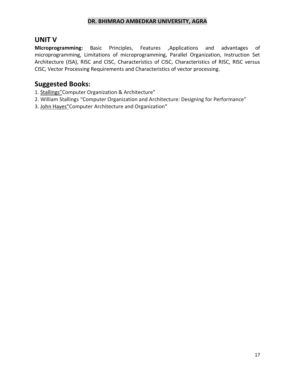# **UNIT V**

**Microprogramming:** Basic Principles, Features ,Applications and advantages of microprogramming, Limitations of microprogramming, Parallel Organization, Instruction Set Architecture (ISA), RISC and CISC, Characteristics of CISC, Characteristics of RISC, RISC versus CISC, Vector Processing Requirements and Characteristics of vector processing.

- 1. [Stallings](https://www.amazon.in/s/ref=dp_byline_sr_book_1?ie=UTF8&field-author=Stallings&search-alias=stripbooks)"Computer Organization & Architecture"
- 2. William Stallings "Computer Organization and Architecture: Designing for Performance"
- 3. [John Hayes](https://www.amazon.in/s/ref=dp_byline_sr_book_1?ie=UTF8&field-author=John+Hayes&search-alias=stripbooks)"Computer Architecture and Organization"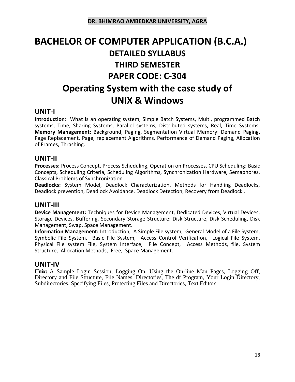# **BACHELOR OF COMPUTER APPLICATION (B.C.A.) DETAILED SYLLABUS THIRD SEMESTER PAPER CODE: C-304 Operating System with the case study of UNIX & Windows**

# **UNIT-I**

**Introduction**: What is an operating system, Simple Batch Systems, Multi, programmed Batch systems, Time, Sharing Systems, Parallel systems, Distributed systems, Real, Time Systems. **Memory Management:** Background, Paging, Segmentation Virtual Memory: Demand Paging, Page Replacement, Page, replacement Algorithms, Performance of Demand Paging, Allocation of Frames, Thrashing.

# **UNIT-II**

**Processes:** Process Concept, Process Scheduling, Operation on Processes, CPU Scheduling: Basic Concepts, Scheduling Criteria, Scheduling Algorithms, Synchronization Hardware, Semaphores, Classical Problems of Synchronization

**Deadlocks:** System Model, Deadlock Characterization, Methods for Handling Deadlocks, Deadlock prevention, Deadlock Avoidance, Deadlock Detection, Recovery from Deadlock .

# **UNIT-III**

**Device Management:** Techniques for Device Management, Dedicated Devices, Virtual Devices, Storage Devices, Buffering, Secondary Storage Structure: Disk Structure, Disk Scheduling, Disk Management**,** Swap, Space Management.

**Information Management:** Introduction, A Simple File system, General Model of a File System, Symbolic File System, Basic File System, Access Control Verification, Logical File System, Physical File system File, System Interface, File Concept, Access Methods, file, System Structure, Allocation Methods, Free, Space Management.

### **UNIT-IV**

**Unix:** A Sample Login Session, Logging On, Using the On-line Man Pages, Logging Off, Directory and File Structure, File Names, Directories, The df Program, Your Login Directory, Subdirectories, Specifying Files, Protecting Files and Directories, Text Editors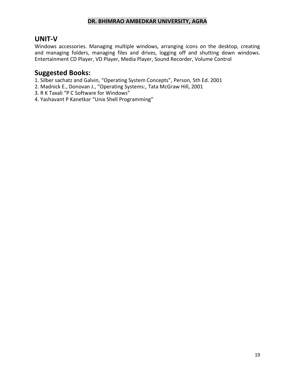### **UNIT-V**

Windows accessories. Managing multiple windows, arranging icons on the desktop, creating and managing folders, managing files and drives, logging off and shutting down windows. Entertainment CD Player, VD Player, Media Player, Sound Recorder, Volume Control

- 1. Silber sachatz and Galvin, "Operating System Concepts", Person, 5th Ed. 2001
- 2. Madnick E., Donovan J., "Operating Systems:, Tata McGraw Hill, 2001
- 3. R K Taxali "P C Software for Windows"
- 4. Yashavant P Kanetkar "Unix Shell Programming"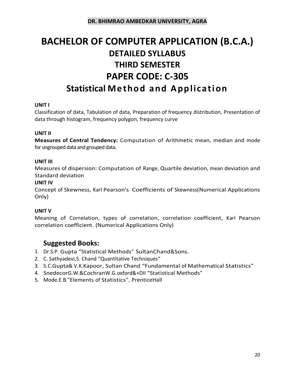# **BACHELOR OF COMPUTER APPLICATION (B.C.A.) DETAILED SYLLABUS THIRD SEMESTER PAPER CODE: C-305 Statistical Method and Application**

#### **UNIT I**

Classification of data, Tabulation of data, Preparation of frequency distribution, Presentation of data through histogram, frequency polygon, frequency curve

#### **UNIT II**

**Measures of Central Tendency:** Computation of Arithmetic mean, median and mode for ungrouped data and grouped data.

#### **UNIT III**

Measures of dispersion: Computation of Range, Quartile deviation, mean deviation and Standard deviation

#### **UNIT IV**

Concept of Skewness, Karl Pearson's Coefficients of Skewness(Numerical Applications Only)

#### **UNIT V**

Meaning of Correlation, types of correlation, correlation coefficient, Karl Pearson correlation coefficient. (Numerical Applications Only)

- 1. Dr.S.P. Gupta "Statistical Methods" SultanChand&Sons.
- 2. C. Sathyadevi,S. Chand "Quantitative Techniques"
- 3. S.C.Gupta& V.K.Kapoor, Sultan Chand "Fundamental of Mathematical Statistics"
- 4. SnedecorG.W.&CochranW.G.oxford&+DII "Statistical Methods"
- 5. Mode.E.B."Elements of Statistics", PrenticeHall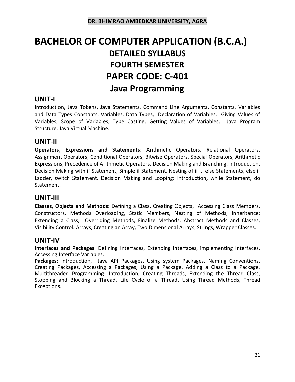# **BACHELOR OF COMPUTER APPLICATION (B.C.A.) DETAILED SYLLABUS FOURTH SEMESTER PAPER CODE: C-401 Java Programming**

# **UNIT-I**

Introduction, Java Tokens, Java Statements, Command Line Arguments. Constants, Variables and Data Types Constants, Variables, Data Types, Declaration of Variables, Giving Values of Variables, Scope of Variables, Type Casting, Getting Values of Variables, Java Program Structure, Java Virtual Machine.

# **UNIT-II**

**Operators, Expressions and Statements**: Arithmetic Operators, Relational Operators, Assignment Operators, Conditional Operators, Bitwise Operators, Special Operators, Arithmetic Expressions, Precedence of Arithmetic Operators. Decision Making and Branching: Introduction, Decision Making with if Statement, Simple if Statement, Nesting of if ... else Statements, else if Ladder, switch Statement. Decision Making and Looping: Introduction, while Statement, do Statement.

# **UNIT-III**

**Classes, Objects and Methods:** Defining a Class, Creating Objects, Accessing Class Members, Constructors, Methods Overloading, Static Members, Nesting of Methods, Inheritance: Extending a Class, Overriding Methods, Finalize Methods, Abstract Methods and Classes, Visibility Control. Arrays, Creating an Array, Two Dimensional Arrays, Strings, Wrapper Classes.

### **UNIT-IV**

**Interfaces and Packages**: Defining Interfaces, Extending Interfaces, implementing Interfaces, Accessing Interface Variables.

**Packages:** Introduction, Java API Packages, Using system Packages, Naming Conventions, Creating Packages, Accessing a Packages, Using a Package, Adding a Class to a Package. Multithreaded Programming: Introduction, Creating Threads, Extending the Thread Class, Stopping and Blocking a Thread, Life Cycle of a Thread, Using Thread Methods, Thread Exceptions.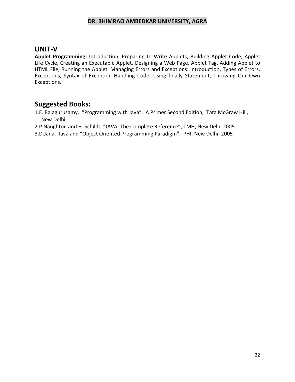### **UNIT-V**

**Applet Programming:** Introduction, Preparing to Write Applets, Building Applet Code, Applet Life Cycle, Creating an Executable Applet, Designing a Web Page, Applet Tag, Adding Applet to HTML File, Running the Applet. Managing Errors and Exceptions: Introduction, Types of Errors, Exceptions, Syntax of Exception Handling Code, Using finally Statement, Throwing Our Own Exceptions.

# **Suggested Books:**

1.E. Balagurusamy, "Programming with Java", A Primer Second Edition, Tata McGraw Hill, New Delhi.

2.P.Naughton and H. Schildt, "JAVA: The Complete Reference", TMH, New Delhi 2005.

3.D.Jana, Java and "Object Oriented Programming Paradigm", PHI, New Delhi, 2005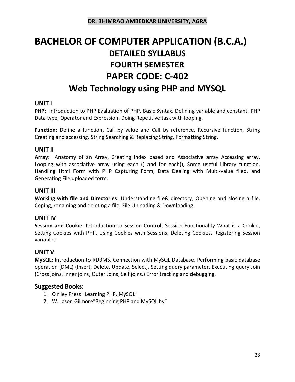# **BACHELOR OF COMPUTER APPLICATION (B.C.A.) DETAILED SYLLABUS FOURTH SEMESTER PAPER CODE: C-402 Web Technology using PHP and MYSQL**

#### **UNIT I**

**PHP**: Introduction to PHP Evaluation of PHP, Basic Syntax, Defining variable and constant, PHP Data type, Operator and Expression. Doing Repetitive task with looping.

Function: Define a function, Call by value and Call by reference, Recursive function, String Creating and accessing, String Searching & Replacing String, Formatting String.

#### **UNIT II**

**Array**: Anatomy of an Array, Creating index based and Associative array Accessing array, Looping with associative array using each () and for each(), Some useful Library function. Handling Html Form with PHP Capturing Form, Data Dealing with Multi-value filed, and Generating File uploaded form.

#### **UNIT III**

**Working with file and Directories**: Understanding file& directory, Opening and closing a file, Coping, renaming and deleting a file, File Uploading & Downloading.

#### **UNIT IV**

**Session and Cookie:** Introduction to Session Control, Session Functionality What is a Cookie, Setting Cookies with PHP. Using Cookies with Sessions, Deleting Cookies, Registering Session variables.

#### **UNIT V**

**MySQL**: Introduction to RDBMS, Connection with MySQL Database, Performing basic database operation (DML) (Insert, Delete, Update, Select), Setting query parameter, Executing query Join (Cross joins, Inner joins, Outer Joins, Self joins.) Error tracking and debugging.

- 1. O riley Press "Learning PHP, MySQL"
- 2. [W. Jason Gilmore](https://www.amazon.in/s/ref=dp_byline_sr_book_1?ie=UTF8&field-author=W.+Jason+Gilmore&search-alias=stripbooks)"Beginning PHP and MySQL by"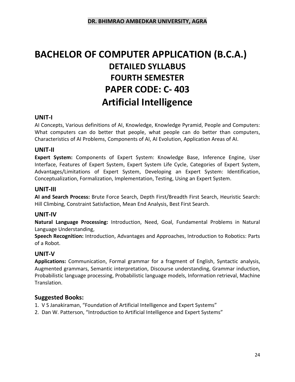# **BACHELOR OF COMPUTER APPLICATION (B.C.A.) DETAILED SYLLABUS FOURTH SEMESTER PAPER CODE: C- 403 Artificial Intelligence**

#### **UNIT-I**

AI Concepts, Various definitions of AI, Knowledge, Knowledge Pyramid, People and Computers: What computers can do better that people, what people can do better than computers, Characteristics of AI Problems, Components of AI, AI Evolution, Application Areas of AI.

#### **UNIT-II**

**Expert System:** Components of Expert System: Knowledge Base, Inference Engine, User Interface, Features of Expert System, Expert System Life Cycle, Categories of Expert System, Advantages/Limitations of Expert System, Developing an Expert System: Identification, Conceptualization, Formalization, Implementation, Testing, Using an Expert System.

#### **UNIT-III**

**AI and Search Process:** Brute Force Search, Depth First/Breadth First Search, Heuristic Search: Hill Climbing, Constraint Satisfaction, Mean End Analysis, Best First Search.

#### **UNIT-IV**

**Natural Language Processing:** Introduction, Need, Goal, Fundamental Problems in Natural Language Understanding,

**Speech Recognition:** Introduction, Advantages and Approaches, Introduction to Robotics: Parts of a Robot.

#### **UNIT-V**

**Applications:** Communication, Formal grammar for a fragment of English, Syntactic analysis, Augmented grammars, Semantic interpretation, Discourse understanding, Grammar induction, Probabilistic language processing, Probabilistic language models, Information retrieval, Machine Translation.

- 1. V S Janakiraman, "Foundation of Artificial Intelligence and Expert Systems"
- 2. Dan W. Patterson, "Introduction to Artificial Intelligence and Expert Systems"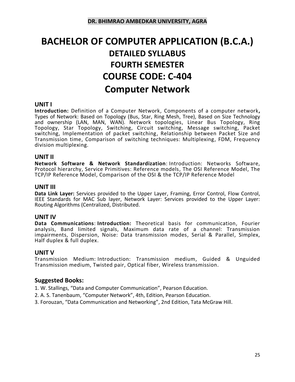# **BACHELOR OF COMPUTER APPLICATION (B.C.A.) DETAILED SYLLABUS FOURTH SEMESTER COURSE CODE: C-404 Computer Network**

#### **UNIT I**

**Introduction:** Definition of a Computer Network, Components of a computer network**,** Types of Network: Based on Topology (Bus, Star, Ring Mesh, Tree), Based on Size Technology and ownership (LAN, MAN, WAN). Network topologies, Linear Bus Topology, Ring Topology, Star Topology, Switching, Circuit switching, Message switching, Packet switching, Implementation of packet switching, Relationship between Packet Size and Transmission time, Comparison of switching techniques: Multiplexing, FDM, Frequency division multiplexing.

#### **UNIT II**

**Network Software & Network Standardization**: Introduction: Networks Software, Protocol hierarchy, Service Primitives: Reference models, The OSI Reference Model, The TCP/IP Reference Model, Comparison of the OSI & the TCP/IP Reference Model

#### **UNIT III**

**Data Link Layer:** Services provided to the Upper Layer, Framing, Error Control, Flow Control, IEEE Standards for MAC Sub layer, Network Layer: Services provided to the Upper Layer: Routing Algorithms (Centralized, Distributed.

#### **UNIT IV**

**Data Communications**: **Introduction:** Theoretical basis for communication, Fourier analysis, Band limited signals, Maximum data rate of a channel: Transmission impairments, Dispersion, Noise: Data transmission modes, Serial & Parallel, Simplex, Half duplex & full duplex.

#### **UNIT V**

Transmission Medium: Introduction: Transmission medium, Guided & Unguided Transmission medium, Twisted pair, Optical fiber, Wireless transmission.

#### **Suggested Books:**

1. W. Stallings, "Data and Computer Communication", Pearson Education.

- 2. A. S. Tanenbaum, "Computer Network", 4th, Edition, Pearson Education.
- 3. Forouzan, "Data Communication and Networking", 2nd Edition, Tata McGraw Hill.